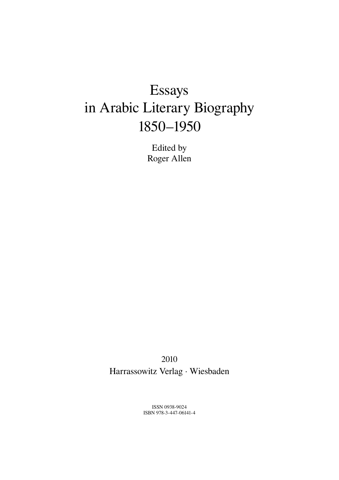# Essays in Arabic Literary Biography 1850–1950

Edited by Roger Allen

2010 Harrassowitz Verlag · Wiesbaden

> ISSN 0938-9024 ISBN 978-3-447-06141-4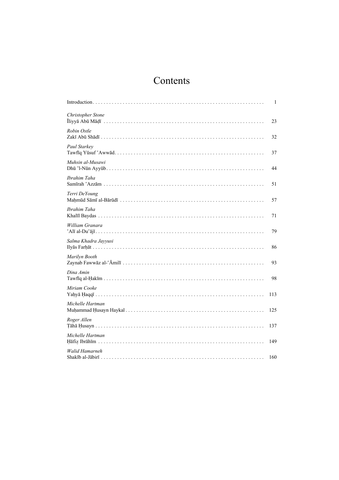## Contents

|                          | 1   |
|--------------------------|-----|
| <b>Christopher Stone</b> | 23  |
| Robin Ostle              | 32  |
| Paul Starkey             | 37  |
| Muhsin al-Musawi         | 44  |
| Ibrahim Taha             | 51  |
| Terri DeYoung            | 57  |
| Ibrahim Taha             | 71  |
| William Granara          | 79  |
| Salma Khadra Jayyusi     | 86  |
| Marilyn Booth            | 93  |
| Dina Amin                | 98  |
| Miriam Cooke             | 113 |
| Michelle Hartman         | 125 |
| Roger Allen              | 137 |
| Michelle Hartman         | 149 |
| Walid Hamarneh           | 160 |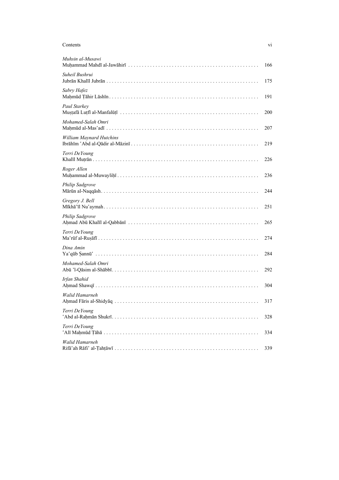| Contents                        | V1  |
|---------------------------------|-----|
| Muhsin al-Musawi                | 166 |
| Suheil Bushrui                  | 175 |
| Sabry Hafez                     | 191 |
| Paul Starkey                    | 200 |
| Mohamed-Salah Omri              | 207 |
| <b>William Maynard Hutchins</b> | 219 |
| Terri DeYoung                   | 226 |
| Roger Allen                     | 236 |
| <b>Philip Sadgrove</b>          | 244 |
| Gregory J. Bell                 | 251 |
| <b>Philip Sadgrove</b>          | 265 |
| Terri DeYoung                   | 274 |
| Dina Amin                       | 284 |
| Mohamed-Salah Omri              | 292 |
| Irfan Shahid                    | 304 |
| Walid Hamarneh                  | 317 |
| Terri DeYoung                   | 328 |
| Terri DeYoung                   | 334 |
| Walid Hamarneh                  | 339 |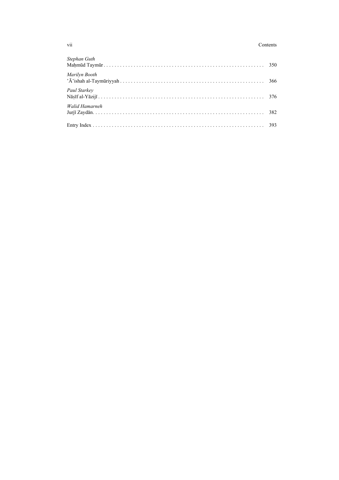#### Contents

| Stephan Guth   |  |
|----------------|--|
|                |  |
| Marilyn Booth  |  |
| Paul Starkey   |  |
| Walid Hamarneh |  |
|                |  |

vii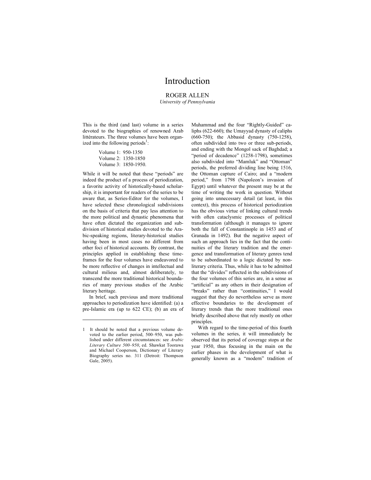### Introduction

#### ROGER ALLEN University of Pennsylvania

This is the third (and last) volume in a series devoted to the biographies of renowned Arab littérateurs. The three volumes have been organized into the following periods<sup>1</sup>:

> Volume 1: 950-1350 Volume 2: 1350-1850 Volume 3: 1850-1950.

While it will be noted that these "periods" are indeed the product of a process of periodization, a favorite activity of historically-based scholarship, it is important for readers of the series to be aware that, as Series-Editor for the volumes, I have selected these chronological subdivisions on the basis of criteria that pay less attention to the more political and dynastic phenomena that have often dictated the organization and subdivision of historical studies devoted to the Arabic-speaking regions, literary-historical studies having been in most cases no different from other foci of historical accounts. By contrast, the principles applied in establishing these timeframes for the four volumes have endeavored to be more reflective of changes in intellectual and cultural milieus and, almost deliberately, to transcend the more traditional historical boundaries of many previous studies of the Arabic literary heritage.

In brief, such previous and more traditional approaches to periodization have identified: (a) a pre-Islamic era (up to 622 CE); (b) an era of

-

Muhammad and the four "Rightly-Guided" caliphs (622-660); the Umayyad dynasty of caliphs (660-750); the Abbasid dynasty (750-1258), often subdivided into two or three sub-periods, and ending with the Mongol sack of Baghdad; a "period of decadence" (1258-1798), sometimes also subdivided into "Mamluk" and "Ottoman" periods, the preferred dividing line being 1516, the Ottoman capture of Cairo; and a "modern period," from 1798 (Napoleon's invasion of Egypt) until whatever the present may be at the time of writing the work in question. Without going into unnecessary detail (at least, in this context), this process of historical periodization has the obvious virtue of linking cultural trends with often cataclysmic processes of political transformation (although it manages to ignore both the fall of Constantinople in 1453 and of Granada in 1492). But the negative aspect of such an approach lies in the fact that the continuities of the literary tradition and the emergence and transformation of literary genres tend to be subordinated to a logic dictated by nonliterary criteria. Thus, while it has to be admitted that the "divides" reflected in the subdivisions of the four volumes of this series are, in a sense as "artificial" as any others in their designation of "breaks" rather than "continuities," I would suggest that they do nevertheless serve as more effective boundaries to the development of literary trends than the more traditional ones briefly described above that rely mostly on other principles.

With regard to the time-period of this fourth volumes in the series, it will immediately be observed that its period of coverage stops at the year 1950, thus focusing in the main on the earlier phases in the development of what is generally known as a "modern" tradition of

<sup>1</sup> It should be noted that a previous volume devoted to the earlier period, 500–950, was published under different circumstances: see Arabic Literary Culture 500–950, ed. Shawkat Toorawa and Michael Cooperson, Dictionary of Literary Biography series no. 311 (Detroit: Thompson Gale, 2005).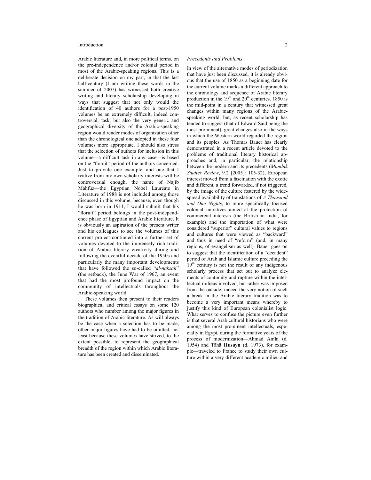#### Introduction 2

Arabic literature and, in more political terms, on the pre-independence and/or colonial period in most of the Arabic-speaking regions. This is a deliberate decision on my part, in that the last half-century (I am writing these words in the summer of 2007) has witnessed both creative writing and literary scholarship developing in ways that suggest that not only would the identification of 40 authors for a post-1950 volumes be an extremely difficult, indeed controversial, task, but also the very generic and geographical diversity of the Arabic-speaking region would render modes of organization other than the chronological one adopted in these four volumes more appropriate. I should also stress that the selection of authors for inclusion in this volume—a difficult task in any case—is based on the "floruit" period of the authors concerned. Just to provide one example, and one that I realize from my own scholarly interests will be controversial enough, the name of Najīb Mahfūz—the Egyptian Nobel Laureate in Literature of 1988 is not included among those discussed in this volume, because, even though he was born in 1911, I would submit that his "floruit" period belongs in the post-independence phase of Egyptian and Arabic literature. It is obviously an aspiration of the present writer and his colleagues to see the volumes of this current project continued into a further set of volumes devoted to the immensely rich tradition of Arabic literary creativity during and following the eventful decade of the 1950s and particularly the many important developments that have followed the so-called "al-naksah" (the setback), the June War of 1967, an event that had the most profound impact on the community of intellectuals throughout the Arabic-speaking world.

These volumes then present to their readers biographical and critical essays on some 120 authors who number among the major figures in the tradition of Arabic literature. As will always be the case when a selection has to be made, other major figures have had to be omitted, not least because these volumes have strived, to the extent possible, to represent the geographical breadth of the region within which Arabic literature has been created and disseminated.

#### Precedents and Problems

In view of the alternative modes of periodization that have just been discussed, it is already obvious that the use of 1850 as a beginning date for the current volume marks a different approach to the chronology and sequence of Arabic literary production in the  $19<sup>th</sup>$  and  $20<sup>th</sup>$  centuries. 1850 is the mid-point in a century that witnessed great changes within many regions of the Arabicspeaking world, but, as recent scholarship has tended to suggest (that of Edward Said being the most prominent), great changes also in the ways in which the Western world regarded the region and its peoples. As Thomas Bauer has clearly demonstrated in a recent article devoted to the problems of traditional literary historical approaches and, in particular, the relationship between the modern and its precedents (Mamluk Studies Review, 9.2 [2005]: 105-32), European interest moved from a fascination with the exotic and different, a trend forwarded, if not triggered, by the image of the culture fostered by the widespread availability of translations of A Thousand and One Nights, to more specifically focused colonial initiatives aimed at the protection of commercial interests (the British in India, for example) and the importation of what were considered "superior" cultural values to regions and cultures that were viewed as "backward" and thus in need of "reform" (and, in many regions, of evangelism as well). Bauer goes on to suggest that the identification of a "decadent" period of Arab and Islamic culture preceding the 19<sup>th</sup> century is not the result of any indigenous scholarly process that set out to analyze elements of continuity and rupture within the intellectual milieus involved, but rather was imposed from the outside; indeed the very notion of such a break in the Arabic literary tradition was to become a very important means whereby to justify this kind of European colonialist logic. What serves to confuse the picture even further is that several Arab cultural historians who were among the most prominent intellectuals, especially in Egypt, during the formative years of the process of modernization—Ahmad Amīn (d. 1954) and Tāhā Husayn (d. 1973), for example—traveled to France to study their own culture within a very different academic milieu and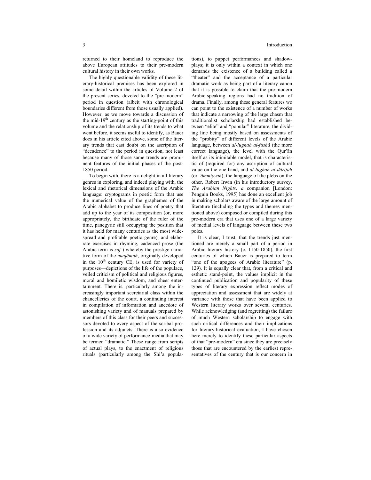returned to their homeland to reproduce the above European attitudes to their pre-modern cultural history in their own works.

The highly questionable validity of these literary-historical premises has been explored in some detail within the articles of Volume 2 of the present series, devoted to the "pre-modern" period in question (albeit with chronological boundaries different from those usually applied). However, as we move towards a discussion of the mid-19<sup>th</sup> century as the starting-point of this volume and the relationship of its trends to what went before, it seems useful to identify, as Bauer does in his article cited above, some of the literary trends that cast doubt on the ascription of "decadence" to the period in question, not least because many of those same trends are prominent features of the initial phases of the post-1850 period.

To begin with, there is a delight in all literary genres in exploring, and indeed playing with, the lexical and rhetorical dimensions of the Arabic language: cryptograms in poetic form that use the numerical value of the graphemes of the Arabic alphabet to produce lines of poetry that add up to the year of its composition (or, more appropriately, the birthdate of the ruler of the time, panegyric still occupying the position that it has held for many centuries as the most widespread and profitable poetic genre), and elaborate exercises in rhyming, cadenced prose (the Arabic term is saj') whereby the prestige narrative form of the maqāmah, originally developed in the  $10<sup>th</sup>$  century CE, is used for variety of purposes—depictions of the life of the populace, veiled criticism of political and religious figures, moral and homiletic wisdom, and sheer entertainment. There is, particularly among the increasingly important secretarial class within the chancelleries of the court, a continuing interest in compilation of information and anecdote of astonishing variety and of manuals prepared by members of this class for their peers and successors devoted to every aspect of the scribal profession and its adjuncts. There is also evidence of a wide variety of performance-media that may be termed "dramatic." These range from scripts of actual plays, to the enactment of religious rituals (particularly among the Shi'a populations), to puppet performances and shadowplays; it is only within a context in which one demands the existence of a building called a "theater" and the acceptance of a particular dramatic work as being part of a literary canon that it is possible to claim that the pre-modern Arabic-speaking regions had no tradition of drama. Finally, among these general features we can point to the existence of a number of works that indicate a narrowing of the large chasm that traditionalist scholarship had established between "elite" and "popular" literature, the dividing line being mostly based on assessments of the "probity" of different levels of the Arabic language, between al-lughah al-fushā (the more correct language), the level with the Qur'ān itself as its inimitable model, that is characteristic of (required for) any ascription of cultural value on the one hand, and al-lughah al-dārijah (or 'āmmiyyah), the language of the plebs on the other. Robert Irwin (in his introductory survey, The Arabian Nights: a companion [London: Penguin Books, 1995] has done an excellent job in making scholars aware of the large amount of literature (including the types and themes mentioned above) composed or compiled during this pre-modern era that uses one of a large variety of medial levels of language between these two poles.

It is clear, I trust, that the trends just mentioned are merely a small part of a period in Arabic literary history (c. 1150-1850), the first centuries of which Bauer is prepared to term "one of the apogees of Arabic literature" (p. 129). It is equally clear that, from a critical and esthetic stand-point, the values implicit in the continued publication and popularity of these types of literary expression reflect modes of appreciation and assessment that are widely at variance with those that have been applied to Western literary works over several centuries. While acknowledging (and regretting) the failure of much Western scholarship to engage with such critical differences and their implications for literary-historical evaluation, I have chosen here merely to identify these particular aspects of that "pre-modern" era since they are precisely those that are encountered by the earliest representatives of the century that is our concern in